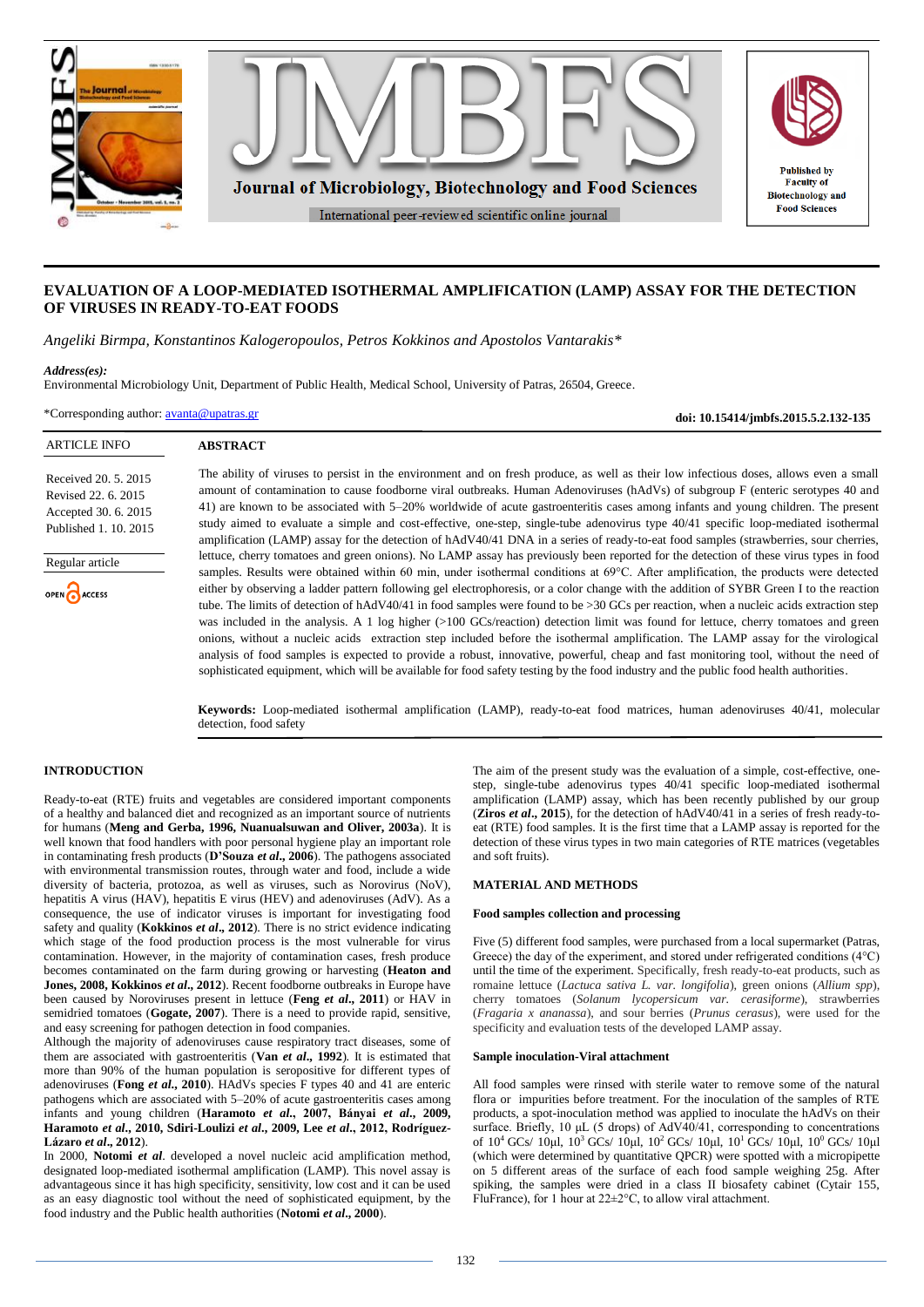

# **EVALUATION OF A LOOP-MEDIATED ISOTHERMAL AMPLIFICATION (LAMP) ASSAY FOR THE DETECTION OF VIRUSES IN READY-TO-EAT FOODS**

*Angeliki Birmpa, Konstantinos Kalogeropoulos, Petros Kokkinos and Apostolos Vantarakis\**

#### *Address(es):*

Environmental Microbiology Unit, Department of Public Health, Medical School, University of Patras, 26504, Greece.

\*Corresponding author: [avanta@upatras.gr](mailto:avanta@upatras.gr)

**doi: 10.15414/jmbfs.2015.5.2.132-135**

| <b>ARTICLE INFO</b>                                                                          | <b>ABSTRACT</b>                                                                                                                                                                                                                                                                                                                                                                                                                                                                                                                                                                                                                                                                                   |
|----------------------------------------------------------------------------------------------|---------------------------------------------------------------------------------------------------------------------------------------------------------------------------------------------------------------------------------------------------------------------------------------------------------------------------------------------------------------------------------------------------------------------------------------------------------------------------------------------------------------------------------------------------------------------------------------------------------------------------------------------------------------------------------------------------|
| Received 20, 5, 2015<br>Revised 22, 6, 2015<br>Accepted 30. 6. 2015<br>Published 1, 10, 2015 | The ability of viruses to persist in the environment and on fresh produce, as well as their low infectious doses, allows even a small<br>amount of contamination to cause foodborne viral outbreaks. Human Adenoviruses (hAdVs) of subgroup F (enteric serotypes 40 and<br>41) are known to be associated with 5-20% worldwide of acute gastroenteritis cases among infants and young children. The present<br>study aimed to evaluate a simple and cost-effective, one-step, single-tube adenovirus type 40/41 specific loop-mediated isothermal<br>amplification (LAMP) assay for the detection of hAdV40/41 DNA in a series of ready-to-eat food samples (strawberries, sour cherries,         |
| Regular article                                                                              | lettuce, cherry tomatoes and green onions). No LAMP assay has previously been reported for the detection of these virus types in food<br>samples. Results were obtained within 60 min, under isothermal conditions at 69°C. After amplification, the products were detected                                                                                                                                                                                                                                                                                                                                                                                                                       |
| OPEN CACCESS                                                                                 | either by observing a ladder pattern following gel electrophoresis, or a color change with the addition of SYBR Green I to the reaction<br>tube. The limits of detection of hAdV40/41 in food samples were found to be >30 GCs per reaction, when a nucleic acids extraction step<br>was included in the analysis. A 1 log higher (>100 GCs/reaction) detection limit was found for lettuce, cherry tomatoes and green<br>onions, without a nucleic acids extraction step included before the isothermal amplification. The LAMP assay for the virological<br>analysis of food samples is expected to provide a robust, innovative, powerful, cheap and fast monitoring tool, without the need of |
|                                                                                              | sophisticated equipment, which will be available for food safety testing by the food industry and the public food health authorities.                                                                                                                                                                                                                                                                                                                                                                                                                                                                                                                                                             |

**Keywords:** Loop-mediated isothermal amplification (LAMP), ready-to-eat food matrices, human adenoviruses 40/41, molecular detection, food safety

# **INTRODUCTION**

Ready-to-eat (RTE) fruits and vegetables are considered important components of a healthy and balanced diet and recognized as an important source of nutrients for humans (**Meng and Gerba, 1996, Nuanualsuwan and Oliver, 2003a**). It is well known that food handlers with poor personal hygiene play an important role in contaminating fresh products (**D'Souza** *et al***., 2006**). The pathogens associated with environmental transmission routes, through water and food, include a wide diversity of bacteria, protozoa, as well as viruses, such as Norovirus (NoV), hepatitis A virus (HAV), hepatitis E virus (HEV) and adenoviruses (AdV). As a consequence, the use of indicator viruses is important for investigating food safety and quality (**Kokkinos** *et al***., 2012**). There is no strict evidence indicating which stage of the food production process is the most vulnerable for virus contamination. However, in the majority of contamination cases, fresh produce becomes contaminated on the farm during growing or harvesting (**Heaton and Jones, 2008, Kokkinos** *et al***., 2012**). Recent foodborne outbreaks in Europe have been caused by Noroviruses present in lettuce (**Feng** *et al***., 2011**) or HAV in semidried tomatoes (**Gogate, 2007**). There is a need to provide rapid, sensitive, and easy screening for pathogen detection in food companies.

Although the majority of adenoviruses cause respiratory tract diseases, some of them are associated with gastroenteritis (**Van** *et al***., 1992**). It is estimated that more than 90% of the human population is seropositive for different types of adenoviruses (**Fong** *et al***., 2010**). HAdVs species F types 40 and 41 are enteric pathogens which are associated with 5–20% of acute gastroenteritis cases among infants and young children (**Haramoto** *et al***., 2007, Bányai** *et al***., 2009, Haramoto** *et al***., 2010, Sdiri-Loulizi** *et al***., 2009, Lee** *et al***., 2012, Rodríguez-Lázaro** *et al***., 2012**).

In 2000, **Notomi** *et al*. developed a novel nucleic acid amplification method, designated loop-mediated isothermal amplification (LAMP). This novel assay is advantageous since it has high specificity, sensitivity, low cost and it can be used as an easy diagnostic tool without the need of sophisticated equipment, by the food industry and the Public health authorities (**Notomi** *et al***., 2000**).

The aim of the present study was the evaluation of a simple, cost-effective, onestep, single-tube adenovirus types 40/41 specific loop-mediated isothermal amplification (LAMP) assay, which has been recently published by our group (**Ziros** *et al***., 2015**), for the detection of hAdV40/41 in a series of fresh ready-toeat (RTE) food samples. It is the first time that a LAMP assay is reported for the detection of these virus types in two main categories of RTE matrices (vegetables and soft fruits).

## **MATERIAL AND METHODS**

#### **Food samples collection and processing**

Five (5) different food samples, were purchased from a local supermarket (Patras, Greece) the day of the experiment, and stored under refrigerated conditions (4°C) until the time of the experiment. Specifically, fresh ready-to-eat products, such as romaine lettuce (*Lactuca sativa L. var. longifolia*), green onions (*Allium spp*), cherry tomatoes (*Solanum lycopersicum var. cerasiforme*), strawberries (*Fragaria x ananassa*), and sour berries (*Prunus cerasus*), were used for the specificity and evaluation tests of the developed LAMP assay.

#### **Sample inoculation-Viral attachment**

All food samples were rinsed with sterile water to remove some of the natural flora or impurities before treatment. For the inoculation of the samples of RTE products, a spot-inoculation method was applied to inoculate the hAdVs on their surface. Briefly, 10 μL (5 drops) of AdV40/41, corresponding to concentrations of  $10^4$  GCs/  $10$ μl,  $10^3$  GCs/  $10$ μl,  $10^2$  GCs/  $10$ μl,  $10^1$  GCs/  $10$ μl,  $10^0$  GCs/  $10$ μl (which were determined by quantitative QPCR) were spotted with a micropipette on 5 different areas of the surface of each food sample weighing 25g. After spiking, the samples were dried in a class II biosafety cabinet (Cytair 155, FluFrance), for 1 hour at  $22 \pm 2^{\circ}$ C, to allow viral attachment.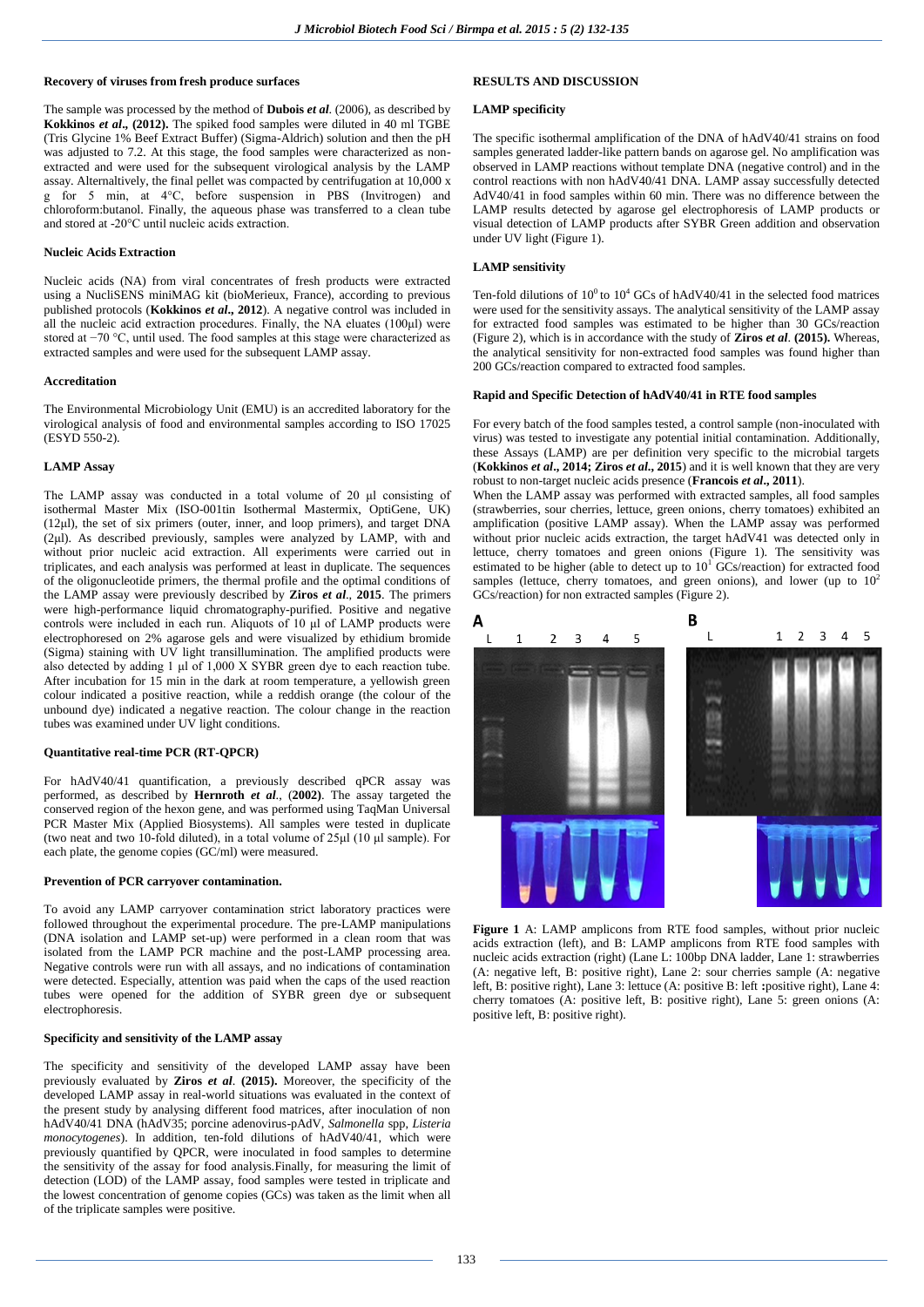### **Recovery of viruses from fresh produce surfaces**

The sample was processed by the method of **Dubois** *et al*. (2006), as described by **Kokkinos** *et al***., (2012).** The spiked food samples were diluted in 40 ml TGBE (Tris Glycine 1% Beef Extract Buffer) (Sigma-Aldrich) solution and then the pH was adjusted to 7.2. At this stage, the food samples were characterized as nonextracted and were used for the subsequent virological analysis by the LAMP assay. Alternaltively, the final pellet was compacted by centrifugation at 10,000 x g for 5 min, at 4°C, before suspension in PBS (Invitrogen) and chloroform:butanol. Finally, the aqueous phase was transferred to a clean tube and stored at -20°C until nucleic acids extraction.

### **Nucleic Acids Extraction**

Nucleic acids (NA) from viral concentrates of fresh products were extracted using a NucliSENS miniMAG kit (bioMerieux, France), according to previous published protocols (**Kokkinos** *et al***., 2012**). A negative control was included in all the nucleic acid extraction procedures. Finally, the NA eluates (100μl) were stored at −70 °C, until used. The food samples at this stage were characterized as extracted samples and were used for the subsequent LAMP assay.

#### **Accreditation**

The Environmental Microbiology Unit (EMU) is an accredited laboratory for the virological analysis of food and environmental samples according to ISO 17025 (ESYD 550-2).

## **LAMP Assay**

The LAMP assay was conducted in a total volume of 20 μl consisting of isothermal Master Mix (ISO-001tin Isothermal Mastermix, OptiGene, UK) (12μl), the set of six primers (outer, inner, and loop primers), and target DNA (2μl). As described previously, samples were analyzed by LAMP, with and without prior nucleic acid extraction. All experiments were carried out in triplicates, and each analysis was performed at least in duplicate. The sequences of the oligonucleotide primers, the thermal profile and the optimal conditions of the LAMP assay were previously described by **Ziros** *et al*., **2015**. The primers were high-performance liquid chromatography-purified. Positive and negative controls were included in each run. Aliquots of 10 μl of LAMP products were electrophoresed on 2% agarose gels and were visualized by ethidium bromide (Sigma) staining with UV light transillumination. The amplified products were also detected by adding 1 μl of 1,000 X SYBR green dye to each reaction tube. After incubation for 15 min in the dark at room temperature, a yellowish green colour indicated a positive reaction, while a reddish orange (the colour of the unbound dye) indicated a negative reaction. The colour change in the reaction tubes was examined under UV light conditions.

#### **Quantitative real-time PCR (RT-QPCR)**

For hAdV40/41 quantification, a previously described qPCR assay was performed, as described by **Hernroth** *et al*., (**2002)**. The assay targeted the conserved region of the hexon gene, and was performed using TaqMan Universal PCR Master Mix (Applied Biosystems). All samples were tested in duplicate (two neat and two 10-fold diluted), in a total volume of 25μl (10 μl sample). For each plate, the genome copies (GC/ml) were measured.

### **Prevention of PCR carryover contamination.**

To avoid any LAMP carryover contamination strict laboratory practices were followed throughout the experimental procedure. The pre-LAMP manipulations (DNA isolation and LAMP set-up) were performed in a clean room that was isolated from the LAMP PCR machine and the post-LAMP processing area. Negative controls were run with all assays, and no indications of contamination were detected. Especially, attention was paid when the caps of the used reaction tubes were opened for the addition of SYBR green dye or subsequent electrophoresis.

#### **Specificity and sensitivity of the LAMP assay**

The specificity and sensitivity of the developed LAMP assay have been previously evaluated by **Ziros** *et al*. **(2015).** Moreover, the specificity of the developed LAMP assay in real-world situations was evaluated in the context of the present study by analysing different food matrices, after inoculation of non hAdV40/41 DNA (hAdV35; porcine adenovirus-pAdV, *Salmonella* spp, *Listeria monocytogenes*). In addition, ten-fold dilutions of hAdV40/41, which were previously quantified by QPCR, were inoculated in food samples to determine the sensitivity of the assay for food analysis.Finally, for measuring the limit of detection (LOD) of the LAMP assay, food samples were tested in triplicate and the lowest concentration of genome copies (GCs) was taken as the limit when all of the triplicate samples were positive.

# **RESULTS AND DISCUSSION**

### **LAMP specificity**

The specific isothermal amplification of the DNA of hAdV40/41 strains on food samples generated ladder-like pattern bands on agarose gel. No amplification was observed in LAMP reactions without template DNA (negative control) and in the control reactions with non hAdV40/41 DNA. LAMP assay successfully detected AdV40/41 in food samples within 60 min. There was no difference between the LAMP results detected by agarose gel electrophoresis of LAMP products or visual detection of LAMP products after SYBR Green addition and observation under UV light (Figure 1).

## **LAMP sensitivity**

Ten-fold dilutions of  $10^0$  to  $10^4$  GCs of hAdV40/41 in the selected food matrices were used for the sensitivity assays. The analytical sensitivity of the LAMP assay for extracted food samples was estimated to be higher than 30 GCs/reaction (Figure 2), which is in accordance with the study of **Ziros** *et al*. **(2015).** Whereas, the analytical sensitivity for non-extracted food samples was found higher than 200 GCs/reaction compared to extracted food samples.

#### **Rapid and Specific Detection of hAdV40/41 in RTE food samples**

For every batch of the food samples tested, a control sample (non-inoculated with virus) was tested to investigate any potential initial contamination. Additionally, these Assays (LAMP) are per definition very specific to the microbial targets (**Kokkinos** *et al***., 2014; Ziros** *et al***., 2015**) and it is well known that they are very robust to non-target nucleic acids presence (**Francois** *et al***., 2011**).

When the LAMP assay was performed with extracted samples, all food samples (strawberries, sour cherries, lettuce, green onions, cherry tomatoes) exhibited an amplification (positive LAMP assay). When the LAMP assay was performed without prior nucleic acids extraction, the target hAdV41 was detected only in lettuce, cherry tomatoes and green onions (Figure 1). The sensitivity was estimated to be higher (able to detect up to  $10<sup>1</sup>$  GCs/reaction) for extracted food samples (lettuce, cherry tomatoes, and green onions), and lower (up to  $10<sup>2</sup>$ GCs/reaction) for non extracted samples (Figure 2).



**Figure 1** A: LAMP amplicons from RTE food samples, without prior nucleic acids extraction (left), and B: LAMP amplicons from RTE food samples with nucleic acids extraction (right) (Lane L: 100bp DNA ladder, Lane 1: strawberries (A: negative left, B: positive right), Lane 2: sour cherries sample (A: negative left, B: positive right), Lane 3: lettuce (A: positive B: left **:**positive right), Lane 4: cherry tomatoes (A: positive left, B: positive right), Lane 5: green onions (A: positive left, B: positive right).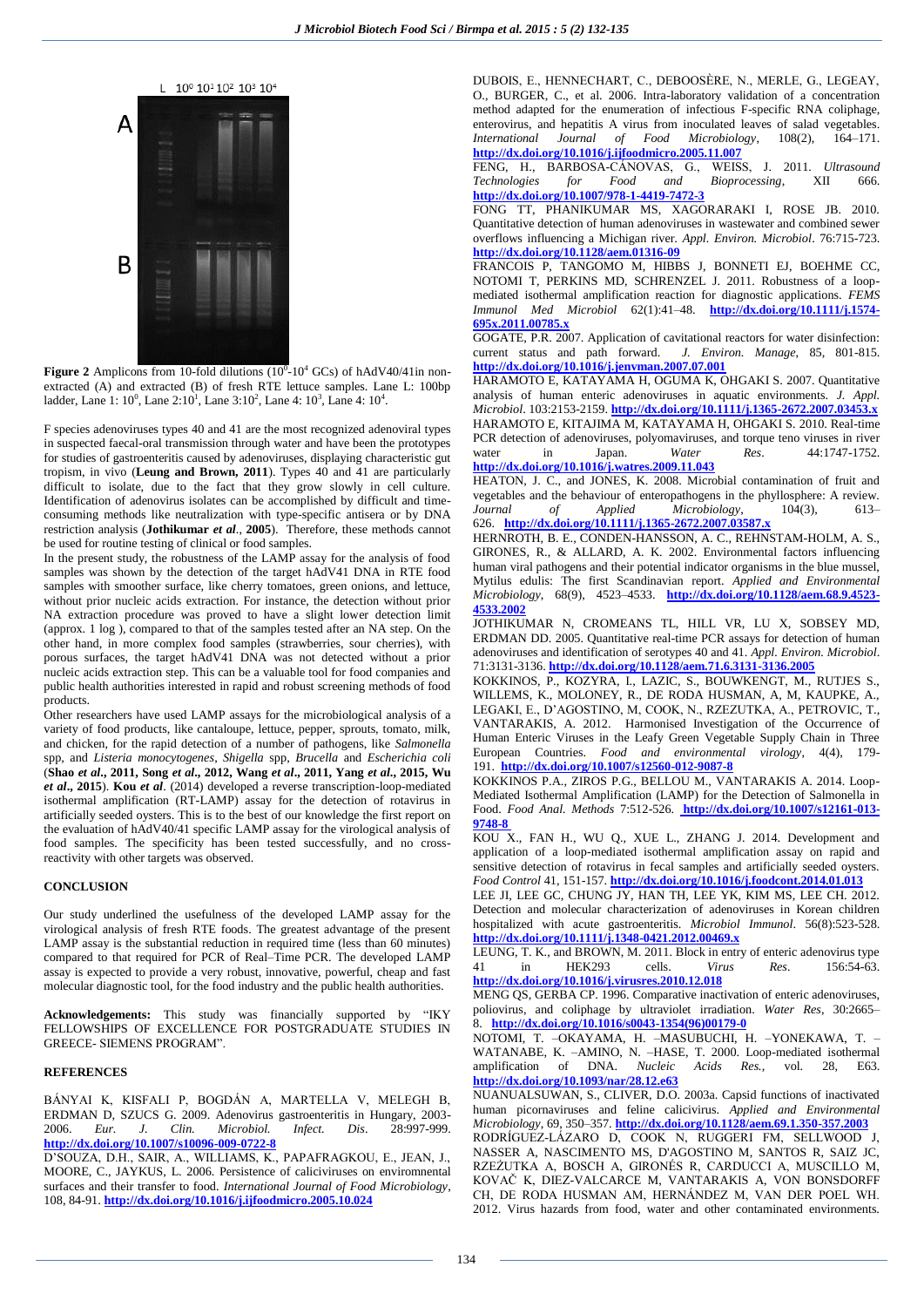



**Figure 2** Amplicons from 10-fold dilutions  $(10^0 - 10^4 \text{ GCs})$  of hAdV40/41in nonextracted (A) and extracted (B) of fresh RTE lettuce samples. Lane L: 100bp ladder, Lane 1:  $10^0$ , Lane 2:10<sup>1</sup>, Lane 3:10<sup>2</sup>, Lane 4:  $10^3$ , Lane 4:  $10^4$ .

F species adenoviruses types 40 and 41 are the most recognized adenoviral types in suspected faecal-oral transmission through water and have been the prototypes for studies of gastroenteritis caused by adenoviruses, displaying characteristic gut tropism, in vivo (**Leung and Brown, 2011**). Types 40 and 41 are particularly difficult to isolate, due to the fact that they grow slowly in cell culture. Identification of adenovirus isolates can be accomplished by difficult and timeconsuming methods like neutralization with type-specific antisera or by DNA restriction analysis (**Jothikumar** *et al*., **2005**). Therefore, these methods cannot be used for routine testing of clinical or food samples.

In the present study, the robustness of the LAMP assay for the analysis of food samples was shown by the detection of the target hAdV41 DNA in RTE food samples with smoother surface, like cherry tomatoes, green onions, and lettuce, without prior nucleic acids extraction. For instance, the detection without prior NA extraction procedure was proved to have a slight lower detection limit (approx. 1 log ), compared to that of the samples tested after an NA step. On the other hand, in more complex food samples (strawberries, sour cherries), with porous surfaces, the target hAdV41 DNA was not detected without a prior nucleic acids extraction step. This can be a valuable tool for food companies and public health authorities interested in rapid and robust screening methods of food products.

Other researchers have used LAMP assays for the microbiological analysis of a variety of food products, like cantaloupe, lettuce, pepper, sprouts, tomato, milk, and chicken, for the rapid detection of a number of pathogens, like *Salmonella* spp, and *Listeria monocytogenes*, *Shigella* spp, *Brucella* and *Escherichia coli* (**Shao** *et al***., 2011, Song** *et al***., 2012, Wang** *et al***., 2011, Yang** *et al***., 2015, Wu**  *et al***., 2015**). **Kou** *et al*. (2014) developed a reverse transcription-loop-mediated isothermal amplification (RT-LAMP) assay for the detection of rotavirus in artificially seeded oysters. This is to the best of our knowledge the first report on the evaluation of hAdV40/41 specific LAMP assay for the virological analysis of food samples. The specificity has been tested successfully, and no crossreactivity with other targets was observed.

#### **CONCLUSION**

Our study underlined the usefulness of the developed LAMP assay for the virological analysis of fresh RTE foods. The greatest advantage of the present LAMP assay is the substantial reduction in required time (less than 60 minutes) compared to that required for PCR of Real–Time PCR. The developed LAMP assay is expected to provide a very robust, innovative, powerful, cheap and fast molecular diagnostic tool, for the food industry and the public health authorities.

**Acknowledgements:** This study was financially supported by "IKY FELLOWSHIPS OF EXCELLENCE FOR POSTGRADUATE STUDIES IN GREECE- SIEMENS PROGRAM".

#### **REFERENCES**

BÁNYAI K, KISFALI P, BOGDÁN A, MARTELLA V, MELEGH B, ERDMAN D, SZUCS G. 2009. Adenovirus gastroenteritis in Hungary, 2003- 2006. *Eur. J. Clin. Microbiol. Infect. Dis*. 28:997-999. **<http://dx.doi.org/10.1007/s10096-009-0722-8>**

D'SOUZA, D.H., SAIR, A., WILLIAMS, K., PAPAFRAGKOU, E., JEAN, J., MOORE, C., JAYKUS, L. 2006. Persistence of caliciviruses on enviromnental surfaces and their transfer to food. *International Journal of Food Microbiology*, 108, 84-91. **<http://dx.doi.org/10.1016/j.ijfoodmicro.2005.10.024>**

DUBOIS, E., HENNECHART, C., DEBOOSÈRE, N., MERLE, G., LEGEAY, O., BURGER, C., et al. 2006. Intra-laboratory validation of a concentration method adapted for the enumeration of infectious F-specific RNA coliphage, enterovirus, and hepatitis A virus from inoculated leaves of salad vegetables. *International Journal of Food Microbiology*, 108(2), 164–171. **<http://dx.doi.org/10.1016/j.ijfoodmicro.2005.11.007>**

FENG, H., BARBOSA-CÁNOVAS, G., WEISS, J. 2011. *Ultrasound Technologies for Food and Bioprocessing*, XII 666. **<http://dx.doi.org/10.1007/978-1-4419-7472-3>**

FONG TT, PHANIKUMAR MS, XAGORARAKI I, ROSE JB. 2010. Quantitative detection of human adenoviruses in wastewater and combined sewer overflows influencing a Michigan river. *Appl. Environ. Microbiol*. 76:715-723. **<http://dx.doi.org/10.1128/aem.01316-09>**

FRANCOIS P, TANGOMO M, HIBBS J, BONNETI EJ, BOEHME CC, NOTOMI T, PERKINS MD, SCHRENZEL J. 2011. Robustness of a loopmediated isothermal amplification reaction for diagnostic applications. *FEMS Immunol Med Microbiol* 62(1):41–48. **[http://dx.doi.org/10.1111/j.1574-](http://dx.doi.org/10.1111/j.1574-695x.2011.00785.x) [695x.2011.00785.x](http://dx.doi.org/10.1111/j.1574-695x.2011.00785.x)**

GOGATE, P.R. 2007. Application of cavitational reactors for water disinfection: current status and path forward. *J. Environ. Manage*, 85, 801-815. **<http://dx.doi.org/10.1016/j.jenvman.2007.07.001>**

HARAMOTO E, KATAYAMA H, OGUMA K, OHGAKI S. 2007. Quantitative analysis of human enteric adenoviruses in aquatic environments. *J. Appl. Microbiol*. 103:2153-2159. **<http://dx.doi.org/10.1111/j.1365-2672.2007.03453.x>** HARAMOTO E, KITAJIMA M, KATAYAMA H, OHGAKI S. 2010. Real-time PCR detection of adenoviruses, polyomaviruses, and torque teno viruses in river<br>water in Japan. Water Res. 44:1747-1752. water in Japan. *Water Res*. 44:1747-1752.

**<http://dx.doi.org/10.1016/j.watres.2009.11.043>**

HEATON, J. C., and JONES, K. 2008. Microbial contamination of fruit and vegetables and the behaviour of enteropathogens in the phyllosphere: A review.<br> *Journal* of *Applied Microbiology*, 104(3), 613– *Journal of Applied Microbiology*, 104(3), 613– 626. **<http://dx.doi.org/10.1111/j.1365-2672.2007.03587.x>**

HERNROTH, B. E., CONDEN-HANSSON, A. C., REHNSTAM-HOLM, A. S., GIRONES, R., & ALLARD, A. K. 2002. Environmental factors influencing human viral pathogens and their potential indicator organisms in the blue mussel, Mytilus edulis: The first Scandinavian report. *Applied and Environmental Microbiology*, 68(9), 4523–4533. **[http://dx.doi.org/10.1128/aem.68.9.4523-](http://dx.doi.org/10.1128/aem.68.9.4523-4533.2002) [4533.2002](http://dx.doi.org/10.1128/aem.68.9.4523-4533.2002)**

JOTHIKUMAR N, CROMEANS TL, HILL VR, LU X, SOBSEY MD, ERDMAN DD. 2005. Quantitative real-time PCR assays for detection of human adenoviruses and identification of serotypes 40 and 41. *Appl. Environ. Microbiol*. 71:3131-3136. **<http://dx.doi.org/10.1128/aem.71.6.3131-3136.2005>**

KOKKINOS, P., KOZYRA, I., LAZIC, S., BOUWKENGT, M., RUTJES S., WILLEMS, K., MOLONEY, R., DE RODA HUSMAN, A, M, KAUPKE, A., LEGAKI, E., D'AGOSTINO, M, COOK, N., RZEZUTKA, A., PETROVIC, T., VANTARAKIS, A. 2012. Harmonised Investigation of the Occurrence of Human Enteric Viruses in the Leafy Green Vegetable Supply Chain in Three European Countries. *Food and environmental virology*, 4(4), 179- 191. **<http://dx.doi.org/10.1007/s12560-012-9087-8>**

KOKKINOS P.A., ZIROS P.G., BELLOU M., VANTARAKIS A. 2014. Loop-Mediated Isothermal Amplification (LAMP) for the Detection of Salmonella in Food. *Food Anal. Methods* 7:512-526. **[http://dx.doi.org/10.1007/s12161-013-](http://dx.doi.org/10.1007/s12161-013-9748-8) [9748-8](http://dx.doi.org/10.1007/s12161-013-9748-8)**

KOU X., FAN H., WU Q., XUE L., ZHANG J. 2014. Development and application of a loop-mediated isothermal amplification assay on rapid and sensitive detection of rotavirus in fecal samples and artificially seeded oysters. *Food Control* 41, 151-157. **<http://dx.doi.org/10.1016/j.foodcont.2014.01.013>**

LEE JI, LEE GC, CHUNG JY, HAN TH, LEE YK, KIM MS, LEE CH. 2012. Detection and molecular characterization of adenoviruses in Korean children hospitalized with acute gastroenteritis. *Microbiol Immunol*. 56(8):523-528. **<http://dx.doi.org/10.1111/j.1348-0421.2012.00469.x>**

LEUNG, T. K., and BROWN, M. 2011. Block in entry of enteric adenovirus type 41 in HEK293 cells. *Virus Res*. 156:54-63. **<http://dx.doi.org/10.1016/j.virusres.2010.12.018>**

MENG QS, GERBA CP. 1996. Comparative inactivation of enteric adenoviruses, poliovirus, and coliphage by ultraviolet irradiation. *Water Res*, 30:2665– 8. **[http://dx.doi.org/10.1016/s0043-1354\(96\)00179-0](http://dx.doi.org/10.1016/s0043-1354(96)00179-0)**

NOTOMI, T. –OKAYAMA, H. –MASUBUCHI, H. –YONEKAWA, T. – WATANABE, K. –AMINO, N. –HASE, T. 2000. Loop-mediated isothermal amplification of DNA. *Nucleic Acids Res.,* vol. 28, E63. **<http://dx.doi.org/10.1093/nar/28.12.e63>**

NUANUALSUWAN, S., CLIVER, D.O. 2003a. Capsid functions of inactivated human picornaviruses and feline calicivirus. *Applied and Environmental Microbiology*, 69, 350–357. **<http://dx.doi.org/10.1128/aem.69.1.350-357.2003>**

RODRÍGUEZ-LÁZARO D, COOK N, RUGGERI FM, SELLWOOD J, NASSER A, NASCIMENTO MS, D'AGOSTINO M, SANTOS R, SAIZ JC, RZEŻUTKA A, BOSCH A, GIRONÉS R, CARDUCCI A, MUSCILLO M, KOVAČ K, DIEZ-VALCARCE M, VANTARAKIS A, VON BONSDORFF CH, DE RODA HUSMAN AM, HERNÁNDEZ M, VAN DER POEL WH. 2012. Virus hazards from food, water and other contaminated environments.